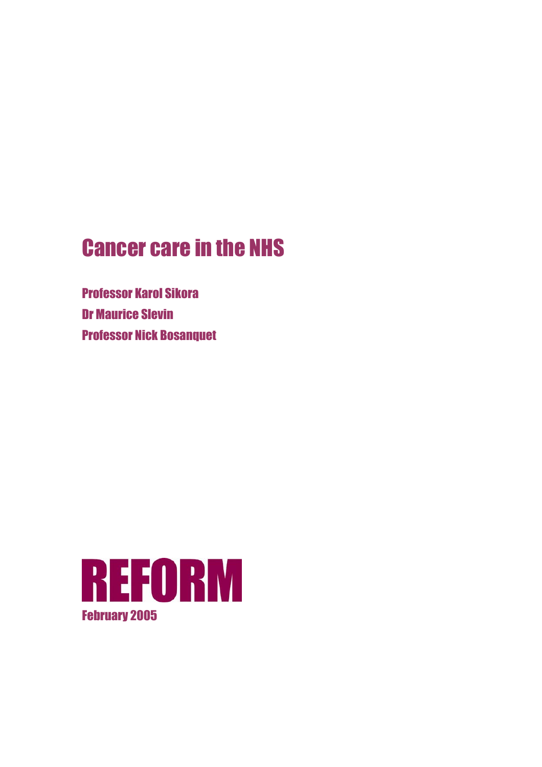# Cancer care in the NHS

Professor Karol Sikora Dr Maurice Slevin **Professor Nick Bosanquet** 

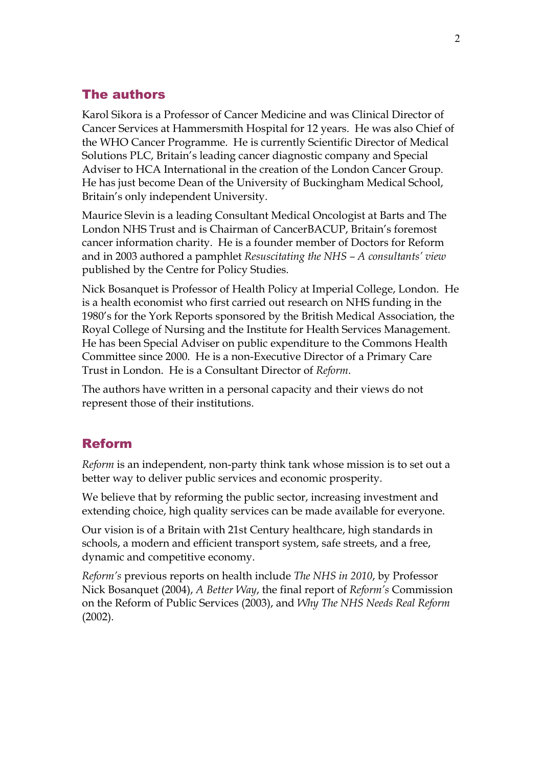## The authors

Karol Sikora is a Professor of Cancer Medicine and was Clinical Director of Cancer Services at Hammersmith Hospital for 12 years. He was also Chief of the WHO Cancer Programme. He is currently Scientific Director of Medical Solutions PLC, Britain's leading cancer diagnostic company and Special Adviser to HCA International in the creation of the London Cancer Group. He has just become Dean of the University of Buckingham Medical School, Britain's only independent University.

Maurice Slevin is a leading Consultant Medical Oncologist at Barts and The London NHS Trust and is Chairman of CancerBACUP, Britain's foremost cancer information charity. He is a founder member of Doctors for Reform and in 2003 authored a pamphlet *Resuscitating the NHS – A consultants' view* published by the Centre for Policy Studies.

Nick Bosanquet is Professor of Health Policy at Imperial College, London. He is a health economist who first carried out research on NHS funding in the 1980's for the York Reports sponsored by the British Medical Association, the Royal College of Nursing and the Institute for Health Services Management. He has been Special Adviser on public expenditure to the Commons Health Committee since 2000. He is a non-Executive Director of a Primary Care Trust in London. He is a Consultant Director of *Reform*.

The authors have written in a personal capacity and their views do not represent those of their institutions.

### Reform

*Reform* is an independent, non-party think tank whose mission is to set out a better way to deliver public services and economic prosperity.

We believe that by reforming the public sector, increasing investment and extending choice, high quality services can be made available for everyone.

Our vision is of a Britain with 21st Century healthcare, high standards in schools, a modern and efficient transport system, safe streets, and a free, dynamic and competitive economy.

*Reform's* previous reports on health include *The NHS in 2010*, by Professor Nick Bosanquet (2004), *A Better Way*, the final report of *Reform's* Commission on the Reform of Public Services (2003), and *Why The NHS Needs Real Reform*  (2002).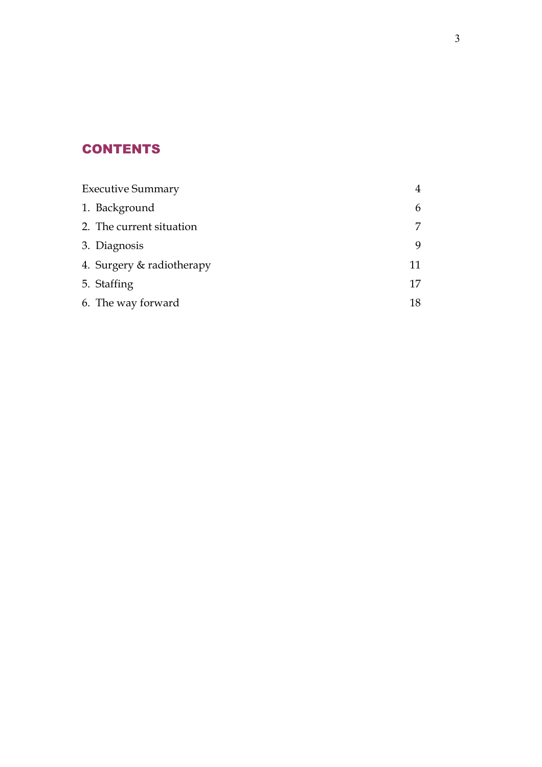# **CONTENTS**

| <b>Executive Summary</b>  |    |
|---------------------------|----|
| 1. Background             | 6  |
| 2. The current situation  |    |
| 3. Diagnosis              | 9  |
| 4. Surgery & radiotherapy | 11 |
| 5. Staffing               | 17 |
| 6. The way forward        | 18 |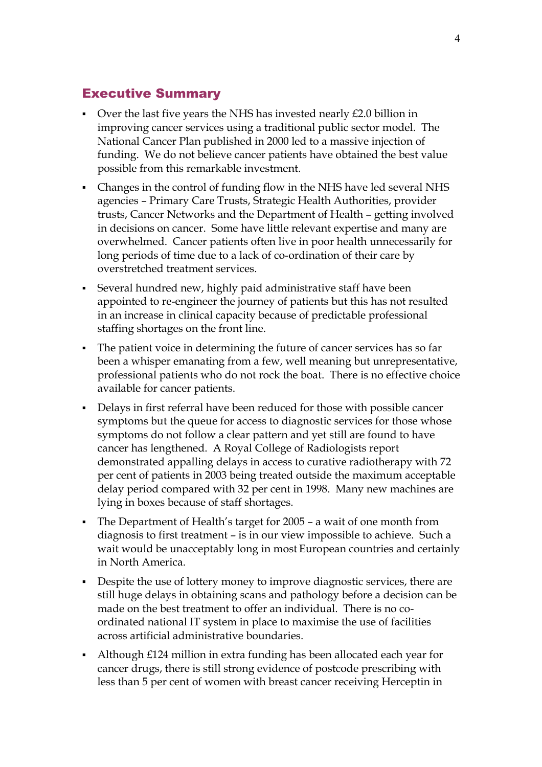### Executive Summary

- Over the last five years the NHS has invested nearly £2.0 billion in improving cancer services using a traditional public sector model. The National Cancer Plan published in 2000 led to a massive injection of funding. We do not believe cancer patients have obtained the best value possible from this remarkable investment.
- Changes in the control of funding flow in the NHS have led several NHS agencies – Primary Care Trusts, Strategic Health Authorities, provider trusts, Cancer Networks and the Department of Health – getting involved in decisions on cancer. Some have little relevant expertise and many are overwhelmed. Cancer patients often live in poor health unnecessarily for long periods of time due to a lack of co-ordination of their care by overstretched treatment services.
- Several hundred new, highly paid administrative staff have been appointed to re-engineer the journey of patients but this has not resulted in an increase in clinical capacity because of predictable professional staffing shortages on the front line.
- The patient voice in determining the future of cancer services has so far been a whisper emanating from a few, well meaning but unrepresentative, professional patients who do not rock the boat. There is no effective choice available for cancer patients.
- Delays in first referral have been reduced for those with possible cancer symptoms but the queue for access to diagnostic services for those whose symptoms do not follow a clear pattern and yet still are found to have cancer has lengthened. A Royal College of Radiologists report demonstrated appalling delays in access to curative radiotherapy with 72 per cent of patients in 2003 being treated outside the maximum acceptable delay period compared with 32 per cent in 1998. Many new machines are lying in boxes because of staff shortages.
- The Department of Health's target for 2005 a wait of one month from diagnosis to first treatment – is in our view impossible to achieve. Such a wait would be unacceptably long in most European countries and certainly in North America.
- Despite the use of lottery money to improve diagnostic services, there are still huge delays in obtaining scans and pathology before a decision can be made on the best treatment to offer an individual. There is no coordinated national IT system in place to maximise the use of facilities across artificial administrative boundaries.
- Although £124 million in extra funding has been allocated each year for cancer drugs, there is still strong evidence of postcode prescribing with less than 5 per cent of women with breast cancer receiving Herceptin in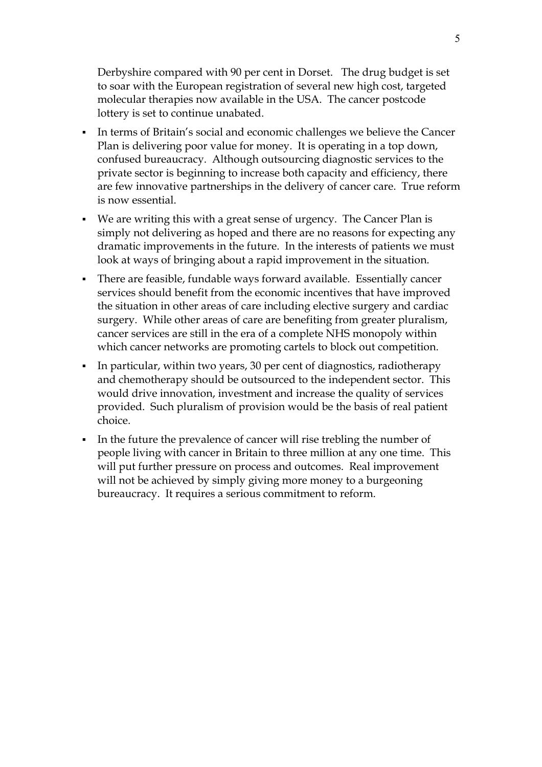Derbyshire compared with 90 per cent in Dorset. The drug budget is set to soar with the European registration of several new high cost, targeted molecular therapies now available in the USA. The cancer postcode lottery is set to continue unabated.

- In terms of Britain's social and economic challenges we believe the Cancer Plan is delivering poor value for money. It is operating in a top down, confused bureaucracy. Although outsourcing diagnostic services to the private sector is beginning to increase both capacity and efficiency, there are few innovative partnerships in the delivery of cancer care. True reform is now essential.
- We are writing this with a great sense of urgency. The Cancer Plan is simply not delivering as hoped and there are no reasons for expecting any dramatic improvements in the future. In the interests of patients we must look at ways of bringing about a rapid improvement in the situation.
- There are feasible, fundable ways forward available. Essentially cancer services should benefit from the economic incentives that have improved the situation in other areas of care including elective surgery and cardiac surgery. While other areas of care are benefiting from greater pluralism, cancer services are still in the era of a complete NHS monopoly within which cancer networks are promoting cartels to block out competition.
- In particular, within two years, 30 per cent of diagnostics, radiotherapy and chemotherapy should be outsourced to the independent sector. This would drive innovation, investment and increase the quality of services provided. Such pluralism of provision would be the basis of real patient choice.
- In the future the prevalence of cancer will rise trebling the number of people living with cancer in Britain to three million at any one time. This will put further pressure on process and outcomes. Real improvement will not be achieved by simply giving more money to a burgeoning bureaucracy. It requires a serious commitment to reform.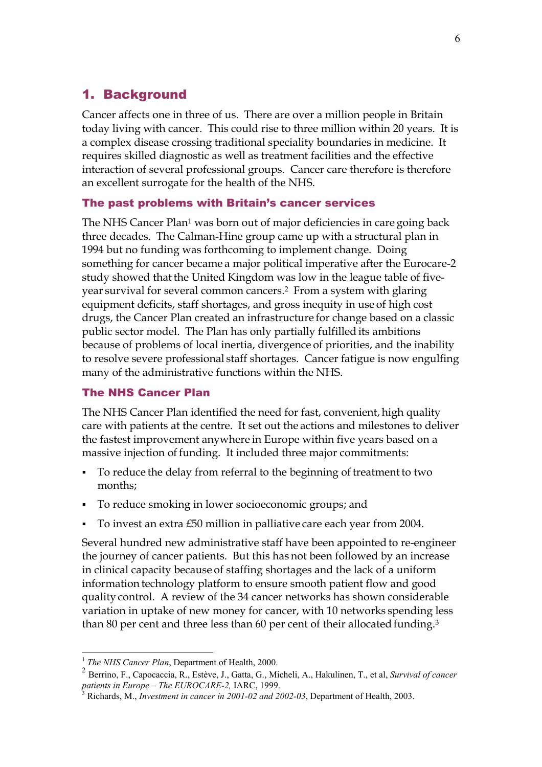## 1. Background

Cancer affects one in three of us. There are over a million people in Britain today living with cancer. This could rise to three million within 20 years. It is a complex disease crossing traditional speciality boundaries in medicine. It requires skilled diagnostic as well as treatment facilities and the effective interaction of several professional groups. Cancer care therefore is therefore an excellent surrogate for the health of the NHS.

#### The past problems with Britain's cancer services

The NHS Cancer Plan<sup>1</sup> was born out of major deficiencies in care going back three decades. The Calman-Hine group came up with a structural plan in 1994 but no funding was forthcoming to implement change. Doing something for cancer became a major political imperative after the Eurocare-2 study showed that the United Kingdom was low in the league table of fiveyear survival for several common cancers.2 From a system with glaring equipment deficits, staff shortages, and gross inequity in use of high cost drugs, the Cancer Plan created an infrastructure for change based on a classic public sector model. The Plan has only partially fulfilled its ambitions because of problems of local inertia, divergence of priorities, and the inability to resolve severe professional staff shortages. Cancer fatigue is now engulfing many of the administrative functions within the NHS.

#### The NHS Cancer Plan

The NHS Cancer Plan identified the need for fast, convenient, high quality care with patients at the centre. It set out the actions and milestones to deliver the fastest improvement anywhere in Europe within five years based on a massive injection of funding. It included three major commitments:

- To reduce the delay from referral to the beginning of treatment to two months;
- To reduce smoking in lower socioeconomic groups; and
- To invest an extra £50 million in palliative care each year from 2004.

Several hundred new administrative staff have been appointed to re-engineer the journey of cancer patients. But this has not been followed by an increase in clinical capacity because of staffing shortages and the lack of a uniform information technology platform to ensure smooth patient flow and good quality control. A review of the 34 cancer networks has shown considerable variation in uptake of new money for cancer, with 10 networks spending less than 80 per cent and three less than 60 per cent of their allocated funding.3

<sup>&</sup>lt;sup>1</sup> *The NHS Cancer Plan*, Department of Health, 2000.

<sup>2</sup> Berrino, F., Capocaccia, R., Estève, J., Gatta, G., Micheli, A., Hakulinen, T., et al, *Survival of cancer patients in Europe – The EUROCARE-2,* IARC, 1999. <sup>3</sup>

Richards, M., *Investment in cancer in 2001-02 and 2002-03*, Department of Health, 2003.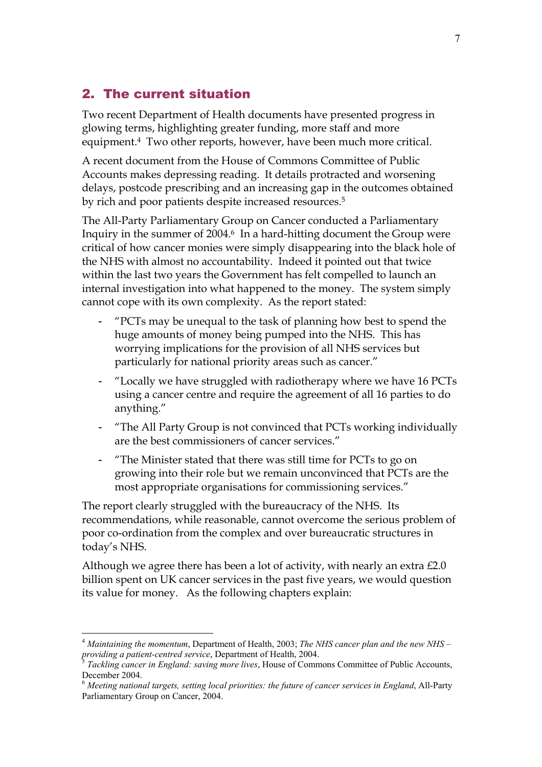## 2. The current situation

Two recent Department of Health documents have presented progress in glowing terms, highlighting greater funding, more staff and more equipment.4 Two other reports, however, have been much more critical.

A recent document from the House of Commons Committee of Public Accounts makes depressing reading. It details protracted and worsening delays, postcode prescribing and an increasing gap in the outcomes obtained by rich and poor patients despite increased resources.5

The All-Party Parliamentary Group on Cancer conducted a Parliamentary Inquiry in the summer of 2004.6 In a hard-hitting document the Group were critical of how cancer monies were simply disappearing into the black hole of the NHS with almost no accountability. Indeed it pointed out that twice within the last two years the Government has felt compelled to launch an internal investigation into what happened to the money. The system simply cannot cope with its own complexity. As the report stated:

- "PCTs may be unequal to the task of planning how best to spend the huge amounts of money being pumped into the NHS. This has worrying implications for the provision of all NHS services but particularly for national priority areas such as cancer."
- "Locally we have struggled with radiotherapy where we have 16 PCTs using a cancer centre and require the agreement of all 16 parties to do anything."
- "The All Party Group is not convinced that PCTs working individually are the best commissioners of cancer services."
- "The Minister stated that there was still time for PCTs to go on growing into their role but we remain unconvinced that PCTs are the most appropriate organisations for commissioning services."

The report clearly struggled with the bureaucracy of the NHS. Its recommendations, while reasonable, cannot overcome the serious problem of poor co-ordination from the complex and over bureaucratic structures in today's NHS.

Although we agree there has been a lot of activity, with nearly an extra £2.0 billion spent on UK cancer services in the past five years, we would question its value for money. As the following chapters explain:

<sup>4</sup> *Maintaining the momentum*, Department of Health, 2003; *The NHS cancer plan and the new NHS – providing a patient-centred service*, Department of Health, 2004.<br><sup>5</sup> *Tackling cancer in England: saving more lives*, House of Commons Committee of Public Accounts,

December 2004.

<sup>6</sup> *Meeting national targets, setting local priorities: the future of cancer services in England*, All-Party Parliamentary Group on Cancer, 2004.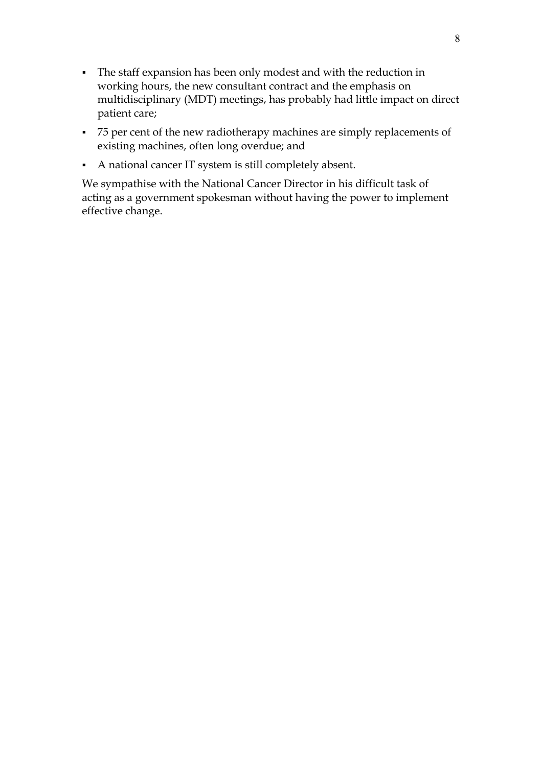- The staff expansion has been only modest and with the reduction in working hours, the new consultant contract and the emphasis on multidisciplinary (MDT) meetings, has probably had little impact on direct patient care;
- 75 per cent of the new radiotherapy machines are simply replacements of existing machines, often long overdue; and
- A national cancer IT system is still completely absent.

We sympathise with the National Cancer Director in his difficult task of acting as a government spokesman without having the power to implement effective change.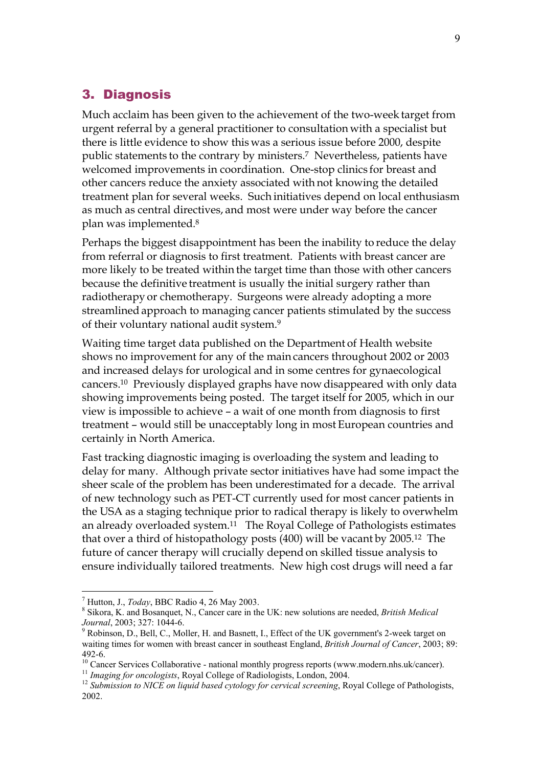### 3. Diagnosis

Much acclaim has been given to the achievement of the two-week target from urgent referral by a general practitioner to consultation with a specialist but there is little evidence to show this was a serious issue before 2000, despite public statements to the contrary by ministers.7 Nevertheless, patients have welcomed improvements in coordination. One-stop clinics for breast and other cancers reduce the anxiety associated with not knowing the detailed treatment plan for several weeks. Such initiatives depend on local enthusiasm as much as central directives, and most were under way before the cancer plan was implemented.8

Perhaps the biggest disappointment has been the inability to reduce the delay from referral or diagnosis to first treatment. Patients with breast cancer are more likely to be treated within the target time than those with other cancers because the definitive treatment is usually the initial surgery rather than radiotherapy or chemotherapy. Surgeons were already adopting a more streamlined approach to managing cancer patients stimulated by the success of their voluntary national audit system.9

Waiting time target data published on the Department of Health website shows no improvement for any of the main cancers throughout 2002 or 2003 and increased delays for urological and in some centres for gynaecological cancers.10 Previously displayed graphs have now disappeared with only data showing improvements being posted. The target itself for 2005, which in our view is impossible to achieve – a wait of one month from diagnosis to first treatment – would still be unacceptably long in most European countries and certainly in North America.

Fast tracking diagnostic imaging is overloading the system and leading to delay for many. Although private sector initiatives have had some impact the sheer scale of the problem has been underestimated for a decade. The arrival of new technology such as PET-CT currently used for most cancer patients in the USA as a staging technique prior to radical therapy is likely to overwhelm an already overloaded system.11 The Royal College of Pathologists estimates that over a third of histopathology posts (400) will be vacant by 2005.12 The future of cancer therapy will crucially depend on skilled tissue analysis to ensure individually tailored treatments. New high cost drugs will need a far

<sup>&</sup>lt;sup>7</sup> Hutton, J., *Today*, BBC Radio 4, 26 May 2003.

Sikora, K. and Bosanquet, N., Cancer care in the UK: new solutions are needed, *British Medical Journal*, 2003; 327: 1044-6. 9

<sup>&</sup>lt;sup>9</sup> Robinson, D., Bell, C., Moller, H. and Basnett, I., Effect of the UK government's 2-week target on waiting times for women with breast cancer in southeast England, *British Journal of Cancer*, 2003; 89: 492-6.

<sup>&</sup>lt;sup>10</sup> Cancer Services Collaborative - national monthly progress reports (www.modern.nhs.uk/cancer).<br><sup>11</sup> Imaging for oncologists, Royal College of Radiologists, London, 2004.

<sup>&</sup>lt;sup>12</sup> Submission to NICE on liquid based cytology for cervical screening, Royal College of Pathologists, 2002.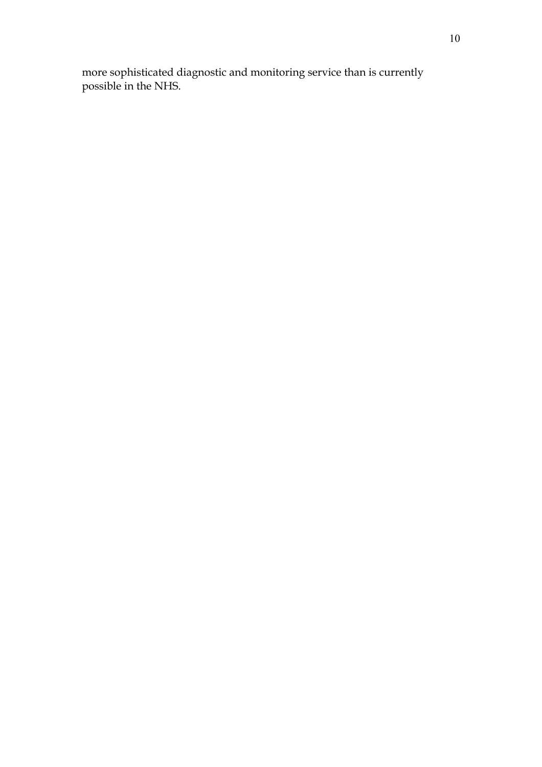more sophisticated diagnostic and monitoring service than is currently possible in the NHS.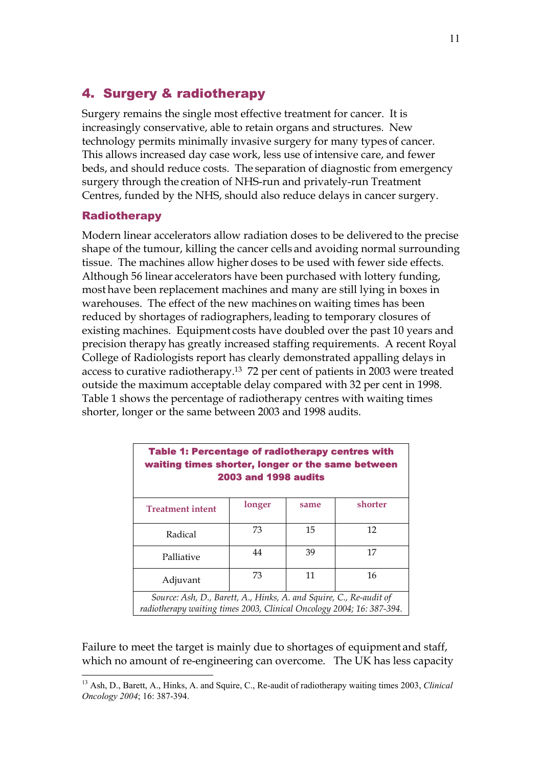## 4. Surgery & radiotherapy

Surgery remains the single most effective treatment for cancer. It is increasingly conservative, able to retain organs and structures. New technology permits minimally invasive surgery for many types of cancer. This allows increased day case work, less use of intensive care, and fewer beds, and should reduce costs. The separation of diagnostic from emergency surgery through the creation of NHS-run and privately-run Treatment Centres, funded by the NHS, should also reduce delays in cancer surgery.

#### **Radiotherapy**

 $\overline{a}$ 

Modern linear accelerators allow radiation doses to be delivered to the precise shape of the tumour, killing the cancer cells and avoiding normal surrounding tissue. The machines allow higher doses to be used with fewer side effects. Although 56 linear accelerators have been purchased with lottery funding, most have been replacement machines and many are still lying in boxes in warehouses. The effect of the new machines on waiting times has been reduced by shortages of radiographers, leading to temporary closures of existing machines. Equipment costs have doubled over the past 10 years and precision therapy has greatly increased staffing requirements. A recent Royal College of Radiologists report has clearly demonstrated appalling delays in access to curative radiotherapy.13 72 per cent of patients in 2003 were treated outside the maximum acceptable delay compared with 32 per cent in 1998. Table 1 shows the percentage of radiotherapy centres with waiting times shorter, longer or the same between 2003 and 1998 audits.

| <b>Table 1: Percentage of radiotherapy centres with</b><br>waiting times shorter, longer or the same between<br><b>2003 and 1998 audits</b> |        |      |         |  |  |
|---------------------------------------------------------------------------------------------------------------------------------------------|--------|------|---------|--|--|
| <b>Treatment intent</b>                                                                                                                     | longer | same | shorter |  |  |
| Radical                                                                                                                                     | 73     | 15   | 12      |  |  |
| Palliative                                                                                                                                  | 44     | 39   | 17      |  |  |
| Adjuvant                                                                                                                                    | 73     | 11   | 16      |  |  |
| Source: Ash, D., Barett, A., Hinks, A. and Squire, C., Re-audit of<br>radiotherapy waiting times 2003, Clinical Oncology 2004; 16: 387-394. |        |      |         |  |  |

Failure to meet the target is mainly due to shortages of equipment and staff, which no amount of re-engineering can overcome. The UK has less capacity

<sup>13</sup> Ash, D., Barett, A., Hinks, A. and Squire, C., Re-audit of radiotherapy waiting times 2003, *Clinical Oncology 2004*; 16: 387-394.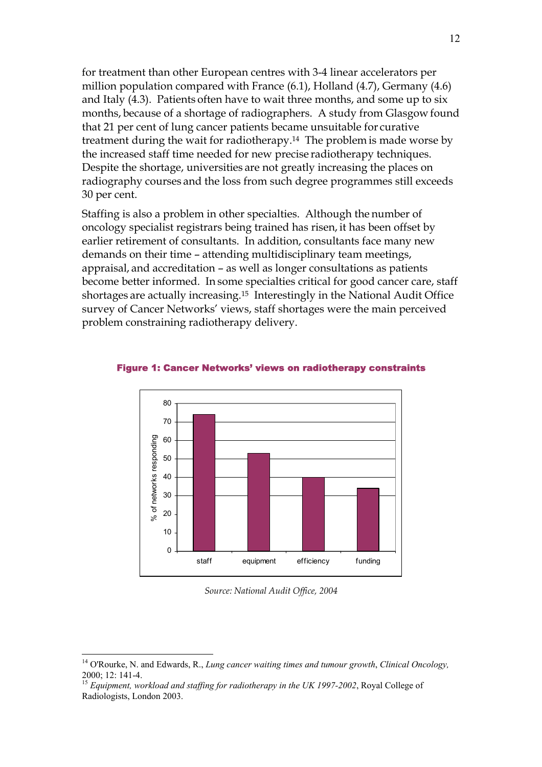for treatment than other European centres with 3-4 linear accelerators per million population compared with France (6.1), Holland (4.7), Germany (4.6) and Italy (4.3). Patients often have to wait three months, and some up to six months, because of a shortage of radiographers. A study from Glasgow found that 21 per cent of lung cancer patients became unsuitable for curative treatment during the wait for radiotherapy.14 The problem is made worse by the increased staff time needed for new precise radiotherapy techniques. Despite the shortage, universities are not greatly increasing the places on radiography courses and the loss from such degree programmes still exceeds 30 per cent.

Staffing is also a problem in other specialties. Although the number of oncology specialist registrars being trained has risen, it has been offset by earlier retirement of consultants. In addition, consultants face many new demands on their time – attending multidisciplinary team meetings, appraisal, and accreditation – as well as longer consultations as patients become better informed. In some specialties critical for good cancer care, staff shortages are actually increasing.15 Interestingly in the National Audit Office survey of Cancer Networks' views, staff shortages were the main perceived problem constraining radiotherapy delivery.



Figure 1: Cancer Networks' views on radiotherapy constraints

*Source: National Audit Office, 2004* 

<sup>14</sup> O'Rourke, N. and Edwards, R., *Lung cancer waiting times and tumour growth*, *Clinical Oncology,*  2000; 12: 141-4.

<sup>&</sup>lt;sup>15</sup> Equipment, workload and staffing for radiotherapy in the UK 1997-2002, Royal College of Radiologists, London 2003.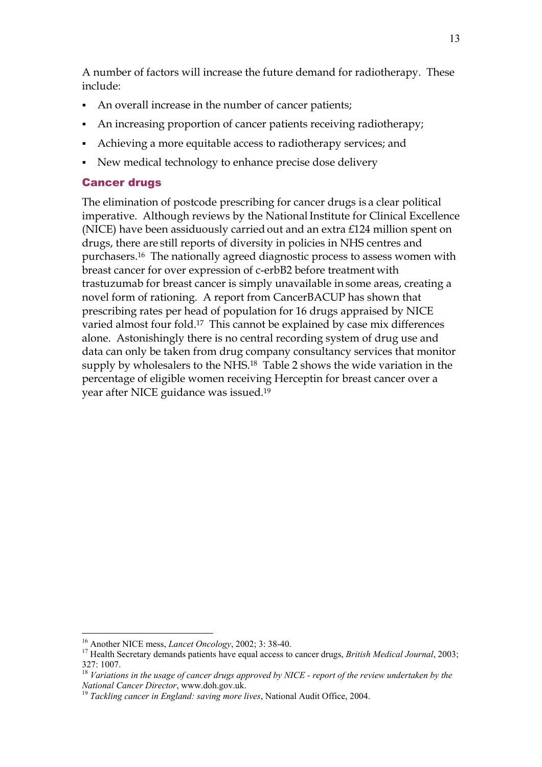A number of factors will increase the future demand for radiotherapy. These include:

- An overall increase in the number of cancer patients;
- An increasing proportion of cancer patients receiving radiotherapy;
- Achieving a more equitable access to radiotherapy services; and
- New medical technology to enhance precise dose delivery

#### Cancer drugs

The elimination of postcode prescribing for cancer drugs is a clear political imperative. Although reviews by the National Institute for Clinical Excellence (NICE) have been assiduously carried out and an extra £124 million spent on drugs, there are still reports of diversity in policies in NHS centres and purchasers.16 The nationally agreed diagnostic process to assess women with breast cancer for over expression of c-erbB2 before treatment with trastuzumab for breast cancer is simply unavailable in some areas, creating a novel form of rationing. A report from CancerBACUP has shown that prescribing rates per head of population for 16 drugs appraised by NICE varied almost four fold.17 This cannot be explained by case mix differences alone. Astonishingly there is no central recording system of drug use and data can only be taken from drug company consultancy services that monitor supply by wholesalers to the NHS.<sup>18</sup> Table 2 shows the wide variation in the percentage of eligible women receiving Herceptin for breast cancer over a year after NICE guidance was issued.19

<sup>&</sup>lt;sup>16</sup> Another NICE mess, *Lancet Oncology*, 2002; 3: 38-40.<br><sup>17</sup> Health Secretary demands patients have equal access to cancer drugs, *British Medical Journal*, 2003; 327: 1007.

<sup>18</sup> *Variations in the usage of cancer drugs approved by NICE - report of the review undertaken by the National Cancer Director*, www.doh.gov.uk. 19 *Tackling cancer in England: saving more lives*, National Audit Office, 2004.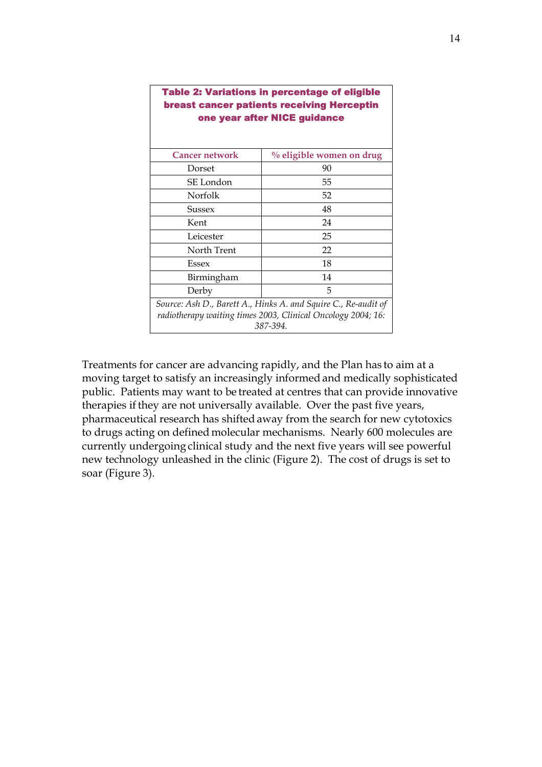| <b>Table 2: Variations in percentage of eligible</b><br><b>breast cancer patients receiving Herceptin</b><br>one year after NICE guidance  |                             |  |  |  |
|--------------------------------------------------------------------------------------------------------------------------------------------|-----------------------------|--|--|--|
| <b>Cancer network</b>                                                                                                                      | $\%$ eligible women on drug |  |  |  |
| Dorset                                                                                                                                     | 90                          |  |  |  |
| SE London                                                                                                                                  | 55                          |  |  |  |
| Norfolk                                                                                                                                    | 52                          |  |  |  |
| Sussex                                                                                                                                     | 48                          |  |  |  |
| Kent                                                                                                                                       | 24                          |  |  |  |
| Leicester                                                                                                                                  | 25                          |  |  |  |
| North Trent                                                                                                                                | 22                          |  |  |  |
| <b>Essex</b>                                                                                                                               | 18                          |  |  |  |
| Birmingham                                                                                                                                 | 14                          |  |  |  |
| Derby                                                                                                                                      | 5                           |  |  |  |
| Source: Ash D., Barett A., Hinks A. and Squire C., Re-audit of<br>radiotherapy waiting times 2003, Clinical Oncology 2004; 16:<br>387-394. |                             |  |  |  |

Treatments for cancer are advancing rapidly, and the Plan has to aim at a moving target to satisfy an increasingly informed and medically sophisticated public. Patients may want to be treated at centres that can provide innovative therapies if they are not universally available. Over the past five years, pharmaceutical research has shifted away from the search for new cytotoxics to drugs acting on defined molecular mechanisms. Nearly 600 molecules are currently undergoing clinical study and the next five years will see powerful new technology unleashed in the clinic (Figure 2). The cost of drugs is set to soar (Figure 3).

┑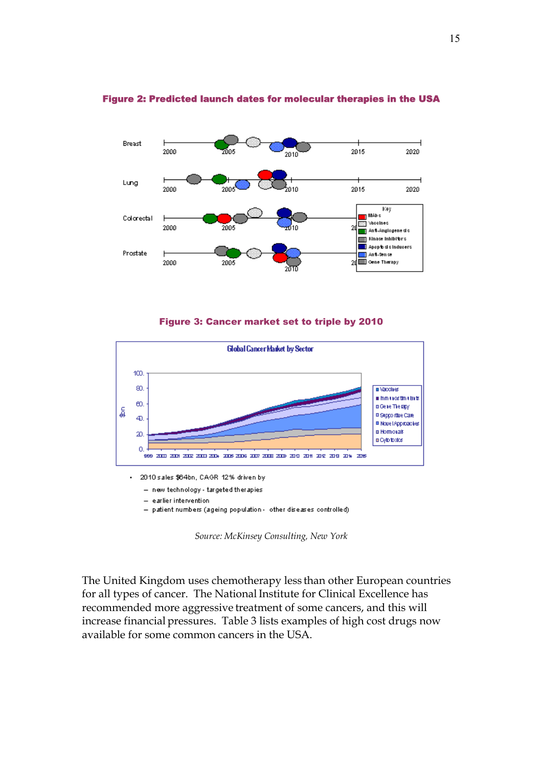

#### Figure 2: Predicted launch dates for molecular therapies in the USA

Figure 3: Cancer market set to triple by 2010



- new technology - targeted therapies

- earlier intervention

- patient numbers (ageing population - other diseases controlled)

*Source: McKinsey Consulting, New York* 

The United Kingdom uses chemotherapy less than other European countries for all types of cancer. The National Institute for Clinical Excellence has recommended more aggressive treatment of some cancers, and this will increase financial pressures. Table 3 lists examples of high cost drugs now available for some common cancers in the USA.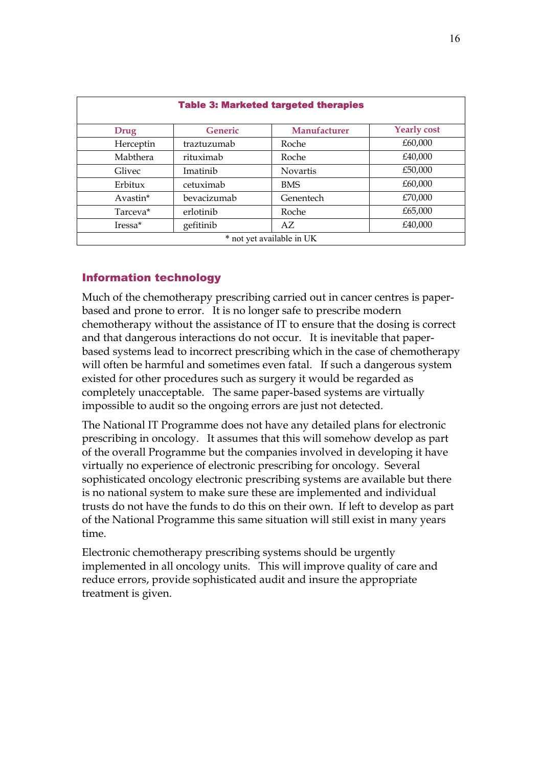| <b>Table 3: Marketed targeted therapies</b> |                |                 |                    |  |  |
|---------------------------------------------|----------------|-----------------|--------------------|--|--|
| Drug                                        | <b>Generic</b> | Manufacturer    | <b>Yearly cost</b> |  |  |
| Herceptin                                   | traztuzumab    | Roche           | £60,000            |  |  |
| Mabthera                                    | rituximab      | Roche           | £40,000            |  |  |
| Glivec                                      | Imatinib       | <b>Novartis</b> | £50,000            |  |  |
| Erbitux                                     | cetuximab      | <b>BMS</b>      | £60,000            |  |  |
| Avastin*                                    | bevacizumab    | Genentech       | £70,000            |  |  |
| Tarceva*                                    | erlotinib      | Roche           | £65,000            |  |  |
| Iressa <sup>*</sup>                         | gefitinib      | AZ.             | £40,000            |  |  |
| * not yet available in UK                   |                |                 |                    |  |  |

#### Information technology

Much of the chemotherapy prescribing carried out in cancer centres is paperbased and prone to error. It is no longer safe to prescribe modern chemotherapy without the assistance of IT to ensure that the dosing is correct and that dangerous interactions do not occur. It is inevitable that paperbased systems lead to incorrect prescribing which in the case of chemotherapy will often be harmful and sometimes even fatal. If such a dangerous system existed for other procedures such as surgery it would be regarded as completely unacceptable. The same paper-based systems are virtually impossible to audit so the ongoing errors are just not detected.

The National IT Programme does not have any detailed plans for electronic prescribing in oncology. It assumes that this will somehow develop as part of the overall Programme but the companies involved in developing it have virtually no experience of electronic prescribing for oncology. Several sophisticated oncology electronic prescribing systems are available but there is no national system to make sure these are implemented and individual trusts do not have the funds to do this on their own. If left to develop as part of the National Programme this same situation will still exist in many years time.

Electronic chemotherapy prescribing systems should be urgently implemented in all oncology units. This will improve quality of care and reduce errors, provide sophisticated audit and insure the appropriate treatment is given.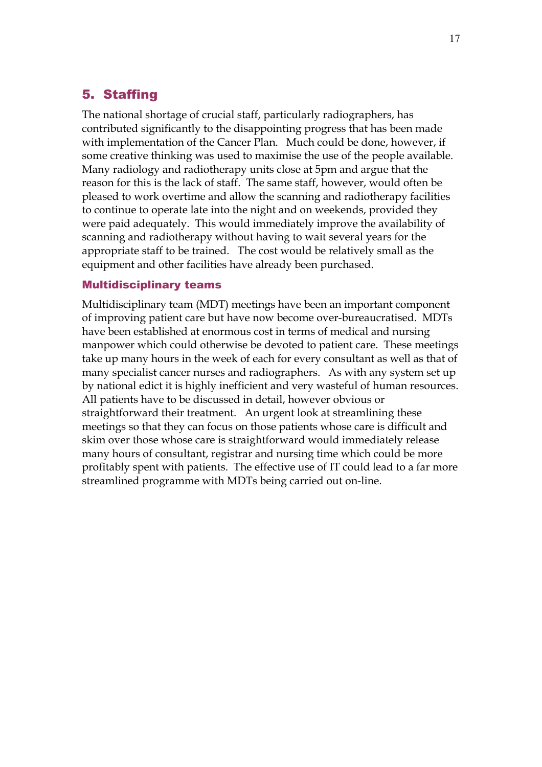## 5. Staffing

The national shortage of crucial staff, particularly radiographers, has contributed significantly to the disappointing progress that has been made with implementation of the Cancer Plan. Much could be done, however, if some creative thinking was used to maximise the use of the people available. Many radiology and radiotherapy units close at 5pm and argue that the reason for this is the lack of staff. The same staff, however, would often be pleased to work overtime and allow the scanning and radiotherapy facilities to continue to operate late into the night and on weekends, provided they were paid adequately. This would immediately improve the availability of scanning and radiotherapy without having to wait several years for the appropriate staff to be trained. The cost would be relatively small as the equipment and other facilities have already been purchased.

#### Multidisciplinary teams

Multidisciplinary team (MDT) meetings have been an important component of improving patient care but have now become over-bureaucratised. MDTs have been established at enormous cost in terms of medical and nursing manpower which could otherwise be devoted to patient care. These meetings take up many hours in the week of each for every consultant as well as that of many specialist cancer nurses and radiographers. As with any system set up by national edict it is highly inefficient and very wasteful of human resources. All patients have to be discussed in detail, however obvious or straightforward their treatment. An urgent look at streamlining these meetings so that they can focus on those patients whose care is difficult and skim over those whose care is straightforward would immediately release many hours of consultant, registrar and nursing time which could be more profitably spent with patients. The effective use of IT could lead to a far more streamlined programme with MDTs being carried out on-line.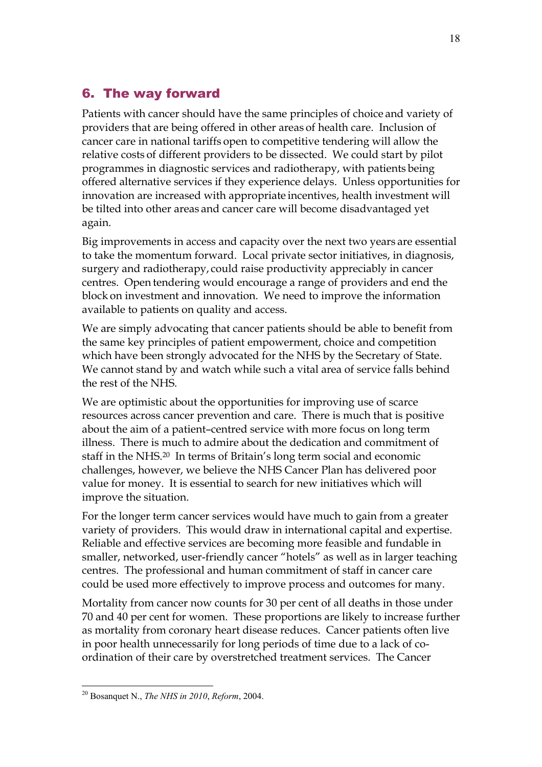## 6. The way forward

Patients with cancer should have the same principles of choice and variety of providers that are being offered in other areas of health care. Inclusion of cancer care in national tariffs open to competitive tendering will allow the relative costs of different providers to be dissected. We could start by pilot programmes in diagnostic services and radiotherapy, with patients being offered alternative services if they experience delays. Unless opportunities for innovation are increased with appropriate incentives, health investment will be tilted into other areas and cancer care will become disadvantaged yet again.

Big improvements in access and capacity over the next two years are essential to take the momentum forward. Local private sector initiatives, in diagnosis, surgery and radiotherapy, could raise productivity appreciably in cancer centres. Open tendering would encourage a range of providers and end the block on investment and innovation. We need to improve the information available to patients on quality and access.

We are simply advocating that cancer patients should be able to benefit from the same key principles of patient empowerment, choice and competition which have been strongly advocated for the NHS by the Secretary of State. We cannot stand by and watch while such a vital area of service falls behind the rest of the NHS.

We are optimistic about the opportunities for improving use of scarce resources across cancer prevention and care. There is much that is positive about the aim of a patient–centred service with more focus on long term illness. There is much to admire about the dedication and commitment of staff in the NHS.20 In terms of Britain's long term social and economic challenges, however, we believe the NHS Cancer Plan has delivered poor value for money. It is essential to search for new initiatives which will improve the situation.

For the longer term cancer services would have much to gain from a greater variety of providers. This would draw in international capital and expertise. Reliable and effective services are becoming more feasible and fundable in smaller, networked, user-friendly cancer "hotels" as well as in larger teaching centres. The professional and human commitment of staff in cancer care could be used more effectively to improve process and outcomes for many.

Mortality from cancer now counts for 30 per cent of all deaths in those under 70 and 40 per cent for women. These proportions are likely to increase further as mortality from coronary heart disease reduces. Cancer patients often live in poor health unnecessarily for long periods of time due to a lack of coordination of their care by overstretched treatment services. The Cancer

 $\overline{a}$ 20 Bosanquet N., *The NHS in 2010*, *Reform*, 2004.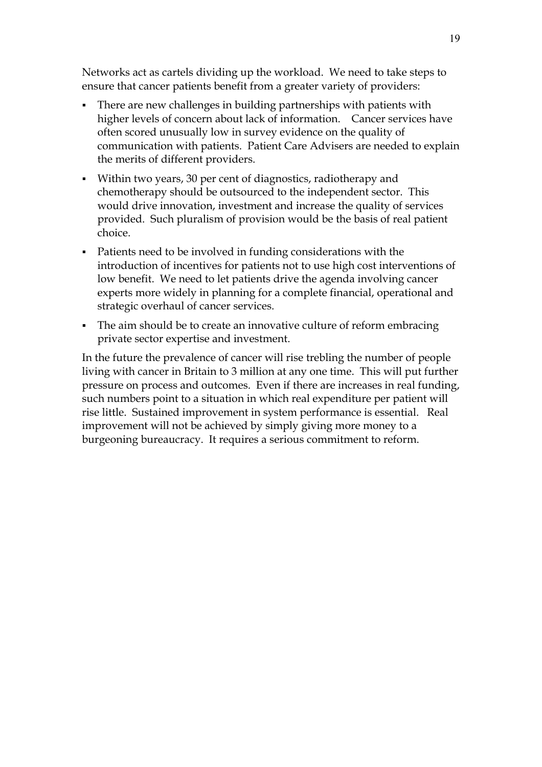Networks act as cartels dividing up the workload. We need to take steps to ensure that cancer patients benefit from a greater variety of providers:

- There are new challenges in building partnerships with patients with higher levels of concern about lack of information. Cancer services have often scored unusually low in survey evidence on the quality of communication with patients. Patient Care Advisers are needed to explain the merits of different providers.
- Within two years, 30 per cent of diagnostics, radiotherapy and chemotherapy should be outsourced to the independent sector. This would drive innovation, investment and increase the quality of services provided. Such pluralism of provision would be the basis of real patient choice.
- Patients need to be involved in funding considerations with the introduction of incentives for patients not to use high cost interventions of low benefit. We need to let patients drive the agenda involving cancer experts more widely in planning for a complete financial, operational and strategic overhaul of cancer services.
- The aim should be to create an innovative culture of reform embracing private sector expertise and investment.

In the future the prevalence of cancer will rise trebling the number of people living with cancer in Britain to 3 million at any one time. This will put further pressure on process and outcomes. Even if there are increases in real funding, such numbers point to a situation in which real expenditure per patient will rise little. Sustained improvement in system performance is essential. Real improvement will not be achieved by simply giving more money to a burgeoning bureaucracy. It requires a serious commitment to reform.